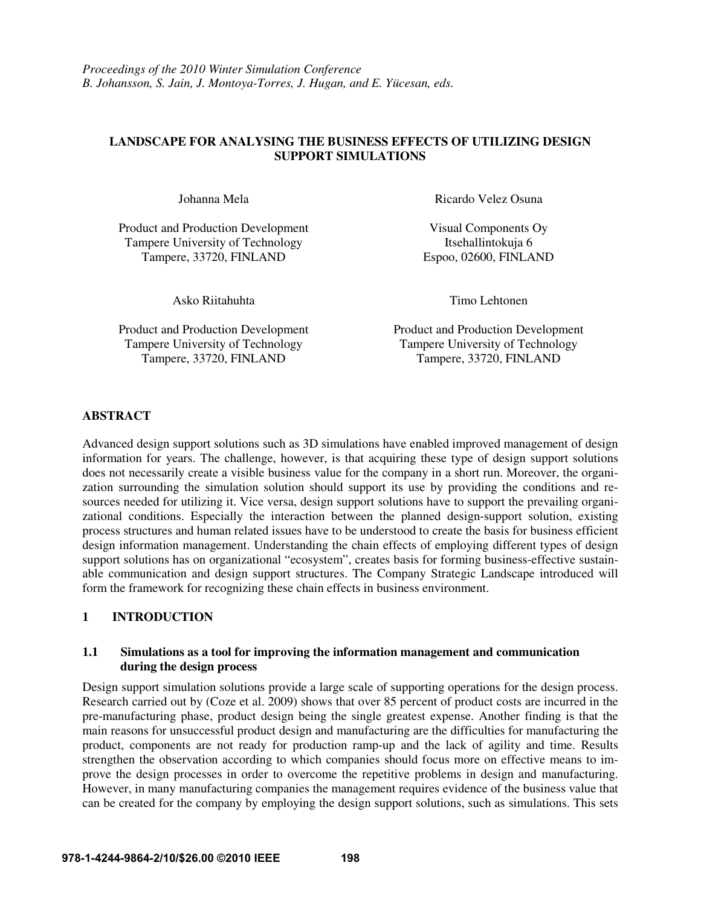# **LANDSCAPE FOR ANALYSING THE BUSINESS EFFECTS OF UTILIZING DESIGN SUPPORT SIMULATIONS**

Product and Production Development Visual Components Oy Tampere University of Technology Itsehallintokuja 6 Tampere, 33720, FINLAND Espoo, 02600, FINLAND

Tampere University of Technology<br>
Tampere University of Technology<br>
Tampere, 33720, FINLAND<br>
Tampere, 33720, FINLAND

Johanna Mela **Ricardo Velez Osuna** 

Asko Riitahuhta Timo Lehtonen

Product and Production Development Product and Production Development Tampere, 33720, FINLAND

# **ABSTRACT**

Advanced design support solutions such as 3D simulations have enabled improved management of design information for years. The challenge, however, is that acquiring these type of design support solutions does not necessarily create a visible business value for the company in a short run. Moreover, the organization surrounding the simulation solution should support its use by providing the conditions and resources needed for utilizing it. Vice versa, design support solutions have to support the prevailing organizational conditions. Especially the interaction between the planned design-support solution, existing process structures and human related issues have to be understood to create the basis for business efficient design information management. Understanding the chain effects of employing different types of design support solutions has on organizational "ecosystem", creates basis for forming business-effective sustainable communication and design support structures. The Company Strategic Landscape introduced will form the framework for recognizing these chain effects in business environment.

# **1 INTRODUCTION**

## **1.1 Simulations as a tool for improving the information management and communication during the design process**

Design support simulation solutions provide a large scale of supporting operations for the design process. Research carried out by (Coze et al. 2009) shows that over 85 percent of product costs are incurred in the pre-manufacturing phase, product design being the single greatest expense. Another finding is that the main reasons for unsuccessful product design and manufacturing are the difficulties for manufacturing the product, components are not ready for production ramp-up and the lack of agility and time. Results strengthen the observation according to which companies should focus more on effective means to improve the design processes in order to overcome the repetitive problems in design and manufacturing. However, in many manufacturing companies the management requires evidence of the business value that can be created for the company by employing the design support solutions, such as simulations. This sets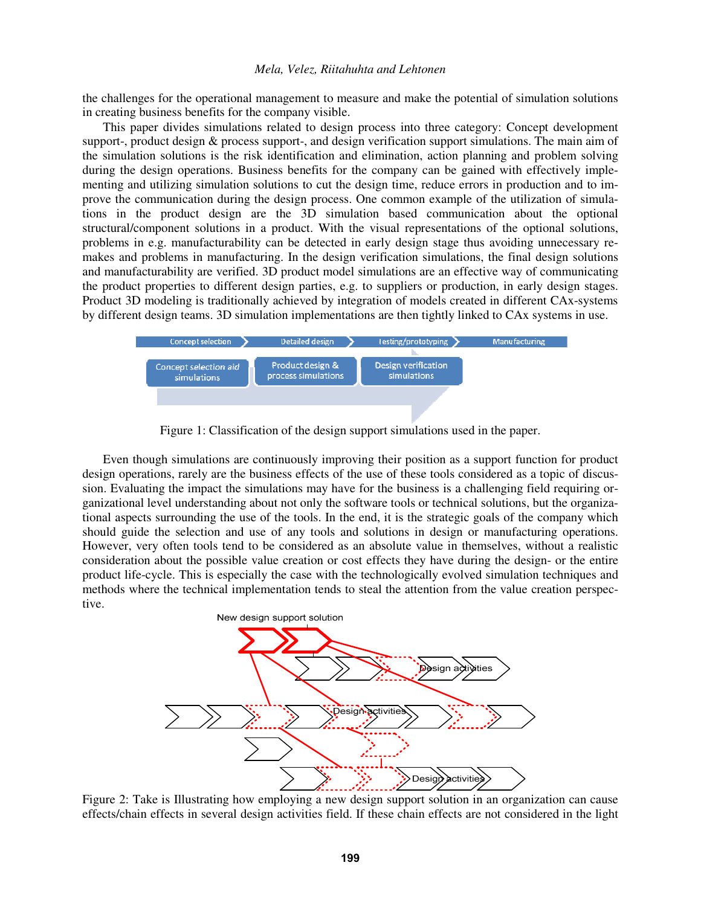the challenges for the operational management to measure and make the potential of simulation solutions in creating business benefits for the company visible.

This paper divides simulations related to design process into three category: Concept development support-, product design & process support-, and design verification support simulations. The main aim of the simulation solutions is the risk identification and elimination, action planning and problem solving during the design operations. Business benefits for the company can be gained with effectively implementing and utilizing simulation solutions to cut the design time, reduce errors in production and to improve the communication during the design process. One common example of the utilization of simulations in the product design are the 3D simulation based communication about the optional structural/component solutions in a product. With the visual representations of the optional solutions, problems in e.g. manufacturability can be detected in early design stage thus avoiding unnecessary remakes and problems in manufacturing. In the design verification simulations, the final design solutions and manufacturability are verified. 3D product model simulations are an effective way of communicating the product properties to different design parties, e.g. to suppliers or production, in early design stages. Product 3D modeling is traditionally achieved by integration of models created in different CAx-systems by different design teams. 3D simulation implementations are then tightly linked to CAx systems in use.

| Concept selection                    | <b>Detailed design</b>                  | Testing/prototyping                | <b>Manufacturing</b> |
|--------------------------------------|-----------------------------------------|------------------------------------|----------------------|
|                                      |                                         |                                    |                      |
| Concept selection aid<br>simulations | Product design &<br>process simulations | Design verification<br>simulations |                      |
|                                      |                                         |                                    |                      |

Г

Figure 1: Classification of the design support simulations used in the paper.

Even though simulations are continuously improving their position as a support function for product design operations, rarely are the business effects of the use of these tools considered as a topic of discussion. Evaluating the impact the simulations may have for the business is a challenging field requiring organizational level understanding about not only the software tools or technical solutions, but the organizational aspects surrounding the use of the tools. In the end, it is the strategic goals of the company which should guide the selection and use of any tools and solutions in design or manufacturing operations. However, very often tools tend to be considered as an absolute value in themselves, without a realistic consideration about the possible value creation or cost effects they have during the design- or the entire product life-cycle. This is especially the case with the technologically evolved simulation techniques and methods where the technical implementation tends to steal the attention from the value creation perspective.



Figure 2: Take is Illustrating how employing a new design support solution in an organization can cause effects/chain effects in several design activities field. If these chain effects are not considered in the light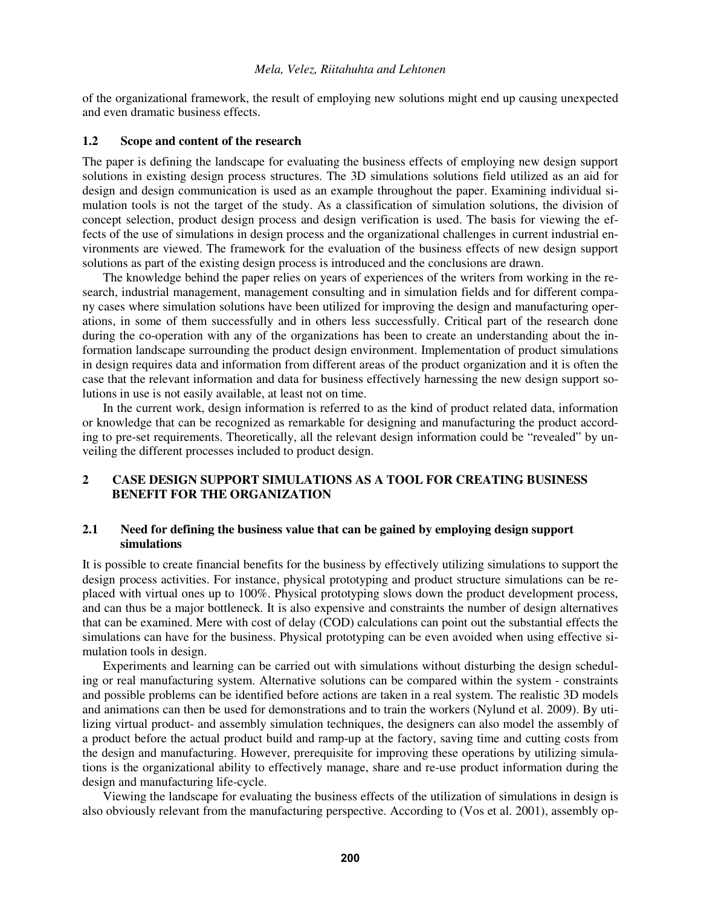of the organizational framework, the result of employing new solutions might end up causing unexpected and even dramatic business effects.

### **1.2 Scope and content of the research**

The paper is defining the landscape for evaluating the business effects of employing new design support solutions in existing design process structures. The 3D simulations solutions field utilized as an aid for design and design communication is used as an example throughout the paper. Examining individual simulation tools is not the target of the study. As a classification of simulation solutions, the division of concept selection, product design process and design verification is used. The basis for viewing the effects of the use of simulations in design process and the organizational challenges in current industrial environments are viewed. The framework for the evaluation of the business effects of new design support solutions as part of the existing design process is introduced and the conclusions are drawn.

The knowledge behind the paper relies on years of experiences of the writers from working in the research, industrial management, management consulting and in simulation fields and for different company cases where simulation solutions have been utilized for improving the design and manufacturing operations, in some of them successfully and in others less successfully. Critical part of the research done during the co-operation with any of the organizations has been to create an understanding about the information landscape surrounding the product design environment. Implementation of product simulations in design requires data and information from different areas of the product organization and it is often the case that the relevant information and data for business effectively harnessing the new design support solutions in use is not easily available, at least not on time.

In the current work, design information is referred to as the kind of product related data, information or knowledge that can be recognized as remarkable for designing and manufacturing the product according to pre-set requirements. Theoretically, all the relevant design information could be "revealed" by unveiling the different processes included to product design.

# **2 CASE DESIGN SUPPORT SIMULATIONS AS A TOOL FOR CREATING BUSINESS BENEFIT FOR THE ORGANIZATION**

## **2.1 Need for defining the business value that can be gained by employing design support simulations**

It is possible to create financial benefits for the business by effectively utilizing simulations to support the design process activities. For instance, physical prototyping and product structure simulations can be replaced with virtual ones up to 100%. Physical prototyping slows down the product development process, and can thus be a major bottleneck. It is also expensive and constraints the number of design alternatives that can be examined. Mere with cost of delay (COD) calculations can point out the substantial effects the simulations can have for the business. Physical prototyping can be even avoided when using effective simulation tools in design.

Experiments and learning can be carried out with simulations without disturbing the design scheduling or real manufacturing system. Alternative solutions can be compared within the system - constraints and possible problems can be identified before actions are taken in a real system. The realistic 3D models and animations can then be used for demonstrations and to train the workers (Nylund et al. 2009). By utilizing virtual product- and assembly simulation techniques, the designers can also model the assembly of a product before the actual product build and ramp-up at the factory, saving time and cutting costs from the design and manufacturing. However, prerequisite for improving these operations by utilizing simulations is the organizational ability to effectively manage, share and re-use product information during the design and manufacturing life-cycle.

Viewing the landscape for evaluating the business effects of the utilization of simulations in design is also obviously relevant from the manufacturing perspective. According to (Vos et al. 2001), assembly op-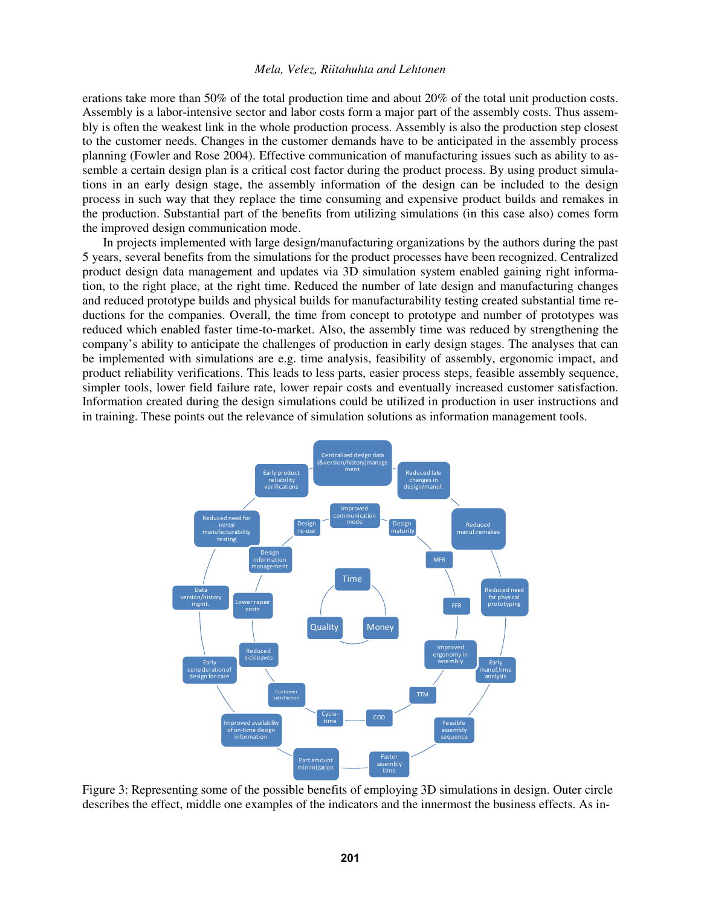erations take more than 50% of the total production time and about 20% of the total unit production costs. Assembly is a labor-intensive sector and labor costs form a major part of the assembly costs. Thus assembly is often the weakest link in the whole production process. Assembly is also the production step closest to the customer needs. Changes in the customer demands have to be anticipated in the assembly process planning (Fowler and Rose 2004). Effective communication of manufacturing issues such as ability to assemble a certain design plan is a critical cost factor during the product process. By using product simulations in an early design stage, the assembly information of the design can be included to the design process in such way that they replace the time consuming and expensive product builds and remakes in the production. Substantial part of the benefits from utilizing simulations (in this case also) comes form the improved design communication mode.

In projects implemented with large design/manufacturing organizations by the authors during the past 5 years, several benefits from the simulations for the product processes have been recognized. Centralized product design data management and updates via 3D simulation system enabled gaining right information, to the right place, at the right time. Reduced the number of late design and manufacturing changes and reduced prototype builds and physical builds for manufacturability testing created substantial time reductions for the companies. Overall, the time from concept to prototype and number of prototypes was reduced which enabled faster time-to-market. Also, the assembly time was reduced by strengthening the company's ability to anticipate the challenges of production in early design stages. The analyses that can be implemented with simulations are e.g. time analysis, feasibility of assembly, ergonomic impact, and product reliability verifications. This leads to less parts, easier process steps, feasible assembly sequence, simpler tools, lower field failure rate, lower repair costs and eventually increased customer satisfaction. Information created during the design simulations could be utilized in production in user instructions and in training. These points out the relevance of simulation solutions as information management tools.



Figure 3: Representing some of the possible benefits of employing 3D simulations in design. Outer circle describes the effect, middle one examples of the indicators and the innermost the business effects. As in-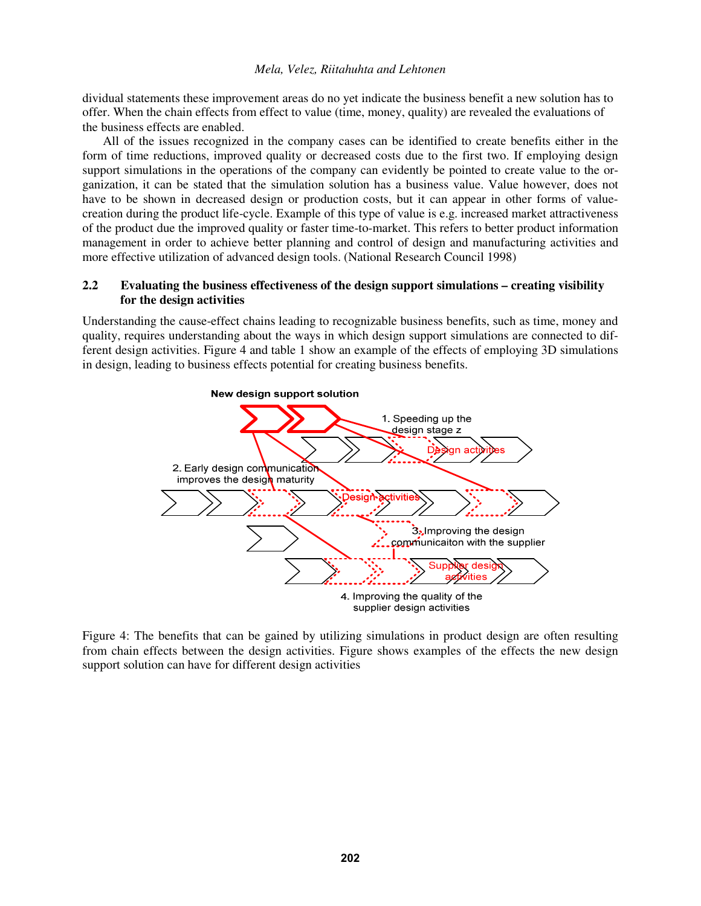dividual statements these improvement areas do no yet indicate the business benefit a new solution has to offer. When the chain effects from effect to value (time, money, quality) are revealed the evaluations of the business effects are enabled.

All of the issues recognized in the company cases can be identified to create benefits either in the form of time reductions, improved quality or decreased costs due to the first two. If employing design support simulations in the operations of the company can evidently be pointed to create value to the organization, it can be stated that the simulation solution has a business value. Value however, does not have to be shown in decreased design or production costs, but it can appear in other forms of valuecreation during the product life-cycle. Example of this type of value is e.g. increased market attractiveness of the product due the improved quality or faster time-to-market. This refers to better product information management in order to achieve better planning and control of design and manufacturing activities and more effective utilization of advanced design tools. (National Research Council 1998)

## **2.2 Evaluating the business effectiveness of the design support simulations – creating visibility for the design activities**

Understanding the cause-effect chains leading to recognizable business benefits, such as time, money and quality, requires understanding about the ways in which design support simulations are connected to different design activities. Figure 4 and table 1 show an example of the effects of employing 3D simulations in design, leading to business effects potential for creating business benefits.



Figure 4: The benefits that can be gained by utilizing simulations in product design are often resulting from chain effects between the design activities. Figure shows examples of the effects the new design support solution can have for different design activities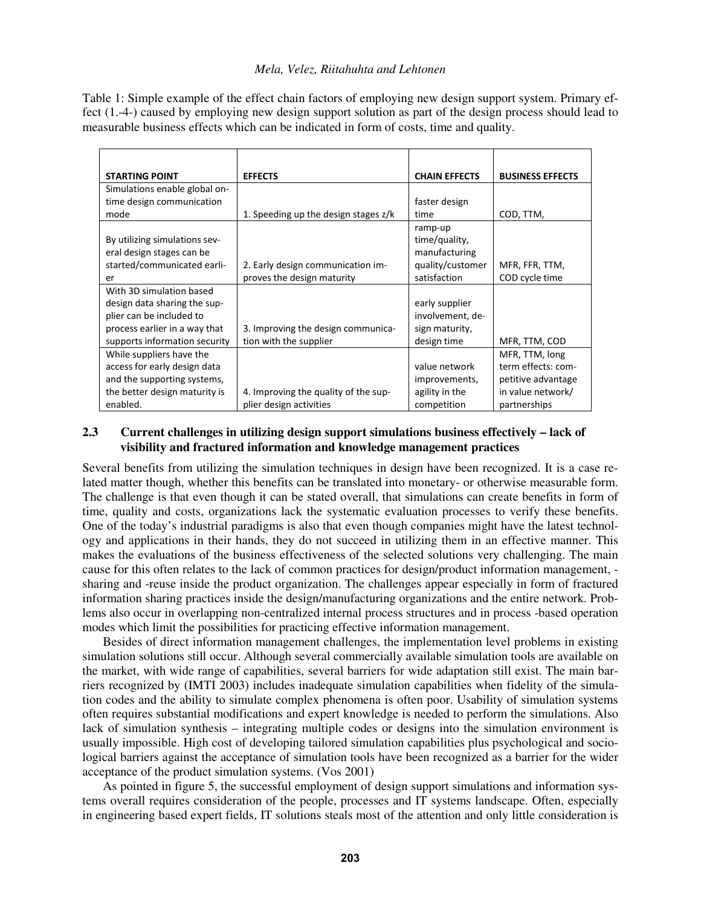Table 1: Simple example of the effect chain factors of employing new design support system. Primary effect (1.-4-) caused by employing new design support solution as part of the design process should lead to measurable business effects which can be indicated in form of costs, time and quality.

| <b>STARTING POINT</b>         | <b>EFFECTS</b>                       | <b>CHAIN EFFECTS</b> | <b>BUSINESS EFFECTS</b> |
|-------------------------------|--------------------------------------|----------------------|-------------------------|
| Simulations enable global on- |                                      |                      |                         |
| time design communication     |                                      | faster design        |                         |
| mode                          | 1. Speeding up the design stages z/k | time                 | COD, TTM,               |
|                               |                                      | ramp-up              |                         |
| By utilizing simulations sev- |                                      | time/quality,        |                         |
| eral design stages can be     |                                      | manufacturing        |                         |
| started/communicated earli-   | 2. Early design communication im-    | quality/customer     | MFR, FFR, TTM,          |
| er                            | proves the design maturity           | satisfaction         | COD cycle time          |
| With 3D simulation based      |                                      |                      |                         |
| design data sharing the sup-  |                                      | early supplier       |                         |
| plier can be included to      |                                      | involvement, de-     |                         |
| process earlier in a way that | 3. Improving the design communica-   | sign maturity,       |                         |
| supports information security | tion with the supplier               | design time          | MFR, TTM, COD           |
| While suppliers have the      |                                      |                      | MFR, TTM, long          |
| access for early design data  |                                      | value network        | term effects: com-      |
| and the supporting systems,   |                                      | improvements,        | petitive advantage      |
| the better design maturity is | 4. Improving the quality of the sup- | agility in the       | in value network/       |
| enabled.                      | plier design activities              | competition          | partnerships            |

## **2.3 Current challenges in utilizing design support simulations business effectively – lack of visibility and fractured information and knowledge management practices**

Several benefits from utilizing the simulation techniques in design have been recognized. It is a case related matter though, whether this benefits can be translated into monetary- or otherwise measurable form. The challenge is that even though it can be stated overall, that simulations can create benefits in form of time, quality and costs, organizations lack the systematic evaluation processes to verify these benefits. One of the today's industrial paradigms is also that even though companies might have the latest technology and applications in their hands, they do not succeed in utilizing them in an effective manner. This makes the evaluations of the business effectiveness of the selected solutions very challenging. The main cause for this often relates to the lack of common practices for design/product information management, sharing and -reuse inside the product organization. The challenges appear especially in form of fractured information sharing practices inside the design/manufacturing organizations and the entire network. Problems also occur in overlapping non-centralized internal process structures and in process -based operation modes which limit the possibilities for practicing effective information management.

Besides of direct information management challenges, the implementation level problems in existing simulation solutions still occur. Although several commercially available simulation tools are available on the market, with wide range of capabilities, several barriers for wide adaptation still exist. The main barriers recognized by (IMTI 2003) includes inadequate simulation capabilities when fidelity of the simulation codes and the ability to simulate complex phenomena is often poor. Usability of simulation systems often requires substantial modifications and expert knowledge is needed to perform the simulations. Also lack of simulation synthesis – integrating multiple codes or designs into the simulation environment is usually impossible. High cost of developing tailored simulation capabilities plus psychological and sociological barriers against the acceptance of simulation tools have been recognized as a barrier for the wider acceptance of the product simulation systems. (Vos 2001)

 As pointed in figure 5, the successful employment of design support simulations and information systems overall requires consideration of the people, processes and IT systems landscape. Often, especially in engineering based expert fields, IT solutions steals most of the attention and only little consideration is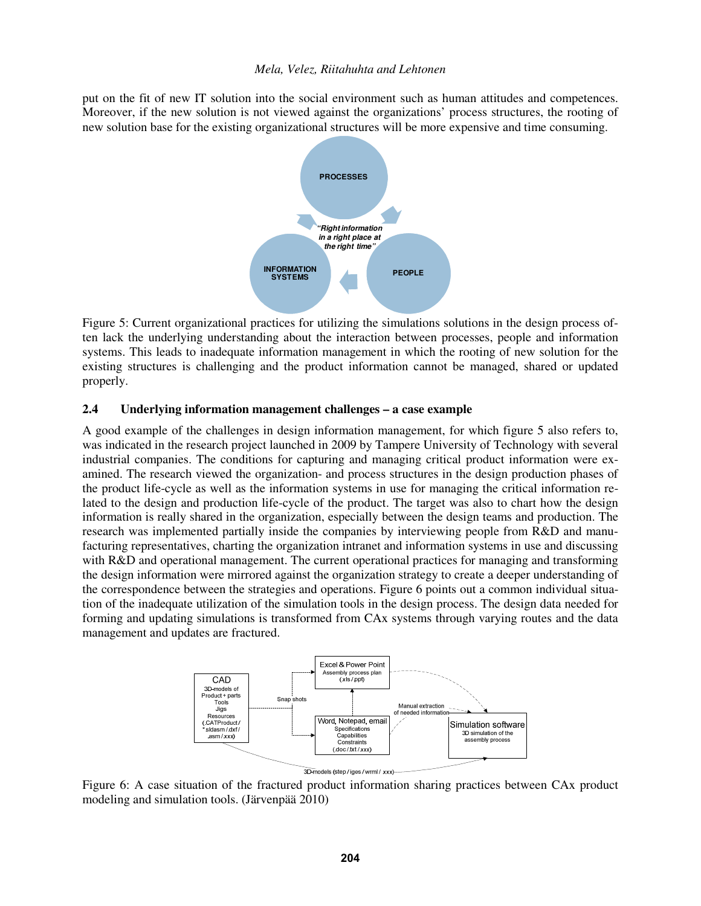put on the fit of new IT solution into the social environment such as human attitudes and competences. Moreover, if the new solution is not viewed against the organizations' process structures, the rooting of new solution base for the existing organizational structures will be more expensive and time consuming.



Figure 5: Current organizational practices for utilizing the simulations solutions in the design process often lack the underlying understanding about the interaction between processes, people and information systems. This leads to inadequate information management in which the rooting of new solution for the existing structures is challenging and the product information cannot be managed, shared or updated properly.

## **2.4 Underlying information management challenges – a case example**

A good example of the challenges in design information management, for which figure 5 also refers to, was indicated in the research project launched in 2009 by Tampere University of Technology with several industrial companies. The conditions for capturing and managing critical product information were examined. The research viewed the organization- and process structures in the design production phases of the product life-cycle as well as the information systems in use for managing the critical information related to the design and production life-cycle of the product. The target was also to chart how the design information is really shared in the organization, especially between the design teams and production. The research was implemented partially inside the companies by interviewing people from R&D and manufacturing representatives, charting the organization intranet and information systems in use and discussing with R&D and operational management. The current operational practices for managing and transforming the design information were mirrored against the organization strategy to create a deeper understanding of the correspondence between the strategies and operations. Figure 6 points out a common individual situation of the inadequate utilization of the simulation tools in the design process. The design data needed for forming and updating simulations is transformed from CAx systems through varying routes and the data management and updates are fractured.



Figure 6: A case situation of the fractured product information sharing practices between CAx product modeling and simulation tools. (Järvenpää 2010)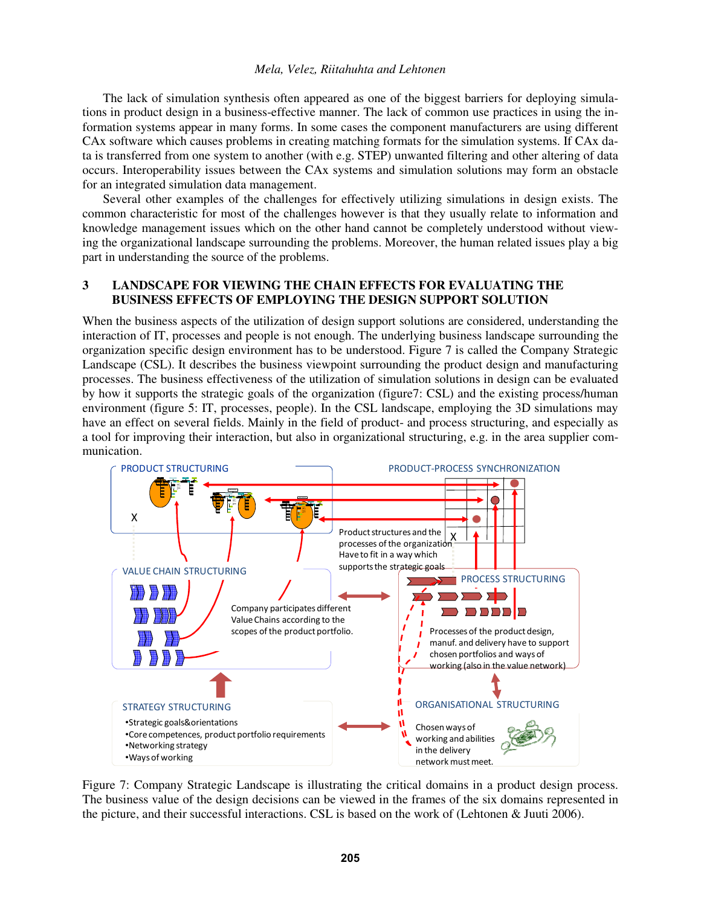The lack of simulation synthesis often appeared as one of the biggest barriers for deploying simulations in product design in a business-effective manner. The lack of common use practices in using the information systems appear in many forms. In some cases the component manufacturers are using different CAx software which causes problems in creating matching formats for the simulation systems. If CAx data is transferred from one system to another (with e.g. STEP) unwanted filtering and other altering of data occurs. Interoperability issues between the CAx systems and simulation solutions may form an obstacle for an integrated simulation data management.

 Several other examples of the challenges for effectively utilizing simulations in design exists. The common characteristic for most of the challenges however is that they usually relate to information and knowledge management issues which on the other hand cannot be completely understood without viewing the organizational landscape surrounding the problems. Moreover, the human related issues play a big part in understanding the source of the problems.

## **3 LANDSCAPE FOR VIEWING THE CHAIN EFFECTS FOR EVALUATING THE BUSINESS EFFECTS OF EMPLOYING THE DESIGN SUPPORT SOLUTION**

When the business aspects of the utilization of design support solutions are considered, understanding the interaction of IT, processes and people is not enough. The underlying business landscape surrounding the organization specific design environment has to be understood. Figure 7 is called the Company Strategic Landscape (CSL). It describes the business viewpoint surrounding the product design and manufacturing processes. The business effectiveness of the utilization of simulation solutions in design can be evaluated by how it supports the strategic goals of the organization (figure7: CSL) and the existing process/human environment (figure 5: IT, processes, people). In the CSL landscape, employing the 3D simulations may have an effect on several fields. Mainly in the field of product- and process structuring, and especially as a tool for improving their interaction, but also in organizational structuring, e.g. in the area supplier communication.



Figure 7: Company Strategic Landscape is illustrating the critical domains in a product design process. The business value of the design decisions can be viewed in the frames of the six domains represented in the picture, and their successful interactions. CSL is based on the work of (Lehtonen & Juuti 2006).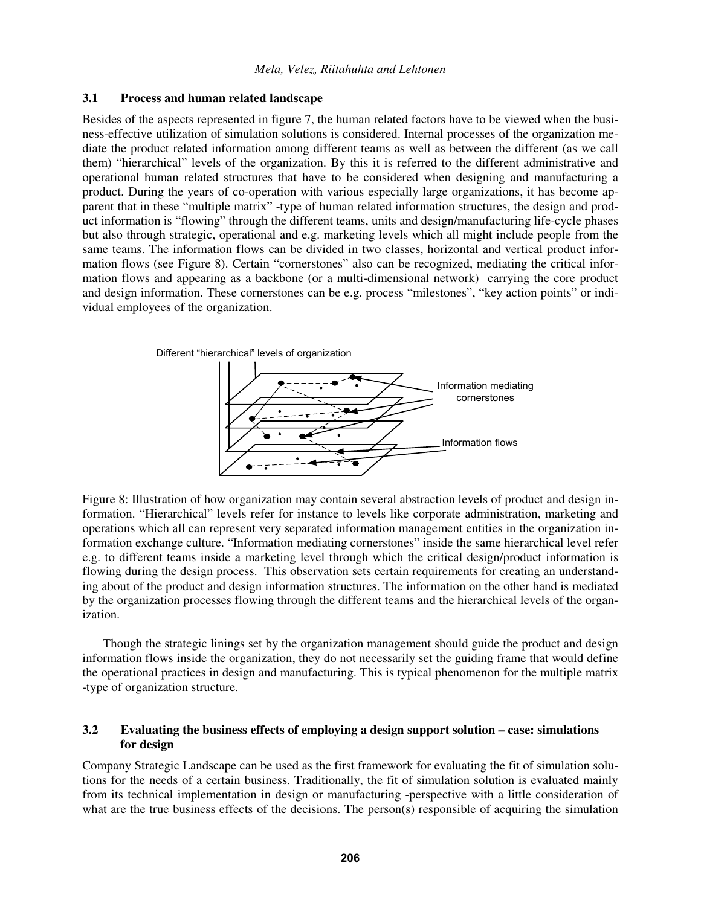## **3.1 Process and human related landscape**

Besides of the aspects represented in figure 7, the human related factors have to be viewed when the business-effective utilization of simulation solutions is considered. Internal processes of the organization mediate the product related information among different teams as well as between the different (as we call them) "hierarchical" levels of the organization. By this it is referred to the different administrative and operational human related structures that have to be considered when designing and manufacturing a product. During the years of co-operation with various especially large organizations, it has become apparent that in these "multiple matrix" -type of human related information structures, the design and product information is "flowing" through the different teams, units and design/manufacturing life-cycle phases but also through strategic, operational and e.g. marketing levels which all might include people from the same teams. The information flows can be divided in two classes, horizontal and vertical product information flows (see Figure 8). Certain "cornerstones" also can be recognized, mediating the critical information flows and appearing as a backbone (or a multi-dimensional network) carrying the core product and design information. These cornerstones can be e.g. process "milestones", "key action points" or individual employees of the organization.



Figure 8: Illustration of how organization may contain several abstraction levels of product and design information. "Hierarchical" levels refer for instance to levels like corporate administration, marketing and operations which all can represent very separated information management entities in the organization information exchange culture. "Information mediating cornerstones" inside the same hierarchical level refer e.g. to different teams inside a marketing level through which the critical design/product information is flowing during the design process. This observation sets certain requirements for creating an understanding about of the product and design information structures. The information on the other hand is mediated by the organization processes flowing through the different teams and the hierarchical levels of the organization.

Though the strategic linings set by the organization management should guide the product and design information flows inside the organization, they do not necessarily set the guiding frame that would define the operational practices in design and manufacturing. This is typical phenomenon for the multiple matrix -type of organization structure.

# **3.2 Evaluating the business effects of employing a design support solution – case: simulations for design**

Company Strategic Landscape can be used as the first framework for evaluating the fit of simulation solutions for the needs of a certain business. Traditionally, the fit of simulation solution is evaluated mainly from its technical implementation in design or manufacturing -perspective with a little consideration of what are the true business effects of the decisions. The person(s) responsible of acquiring the simulation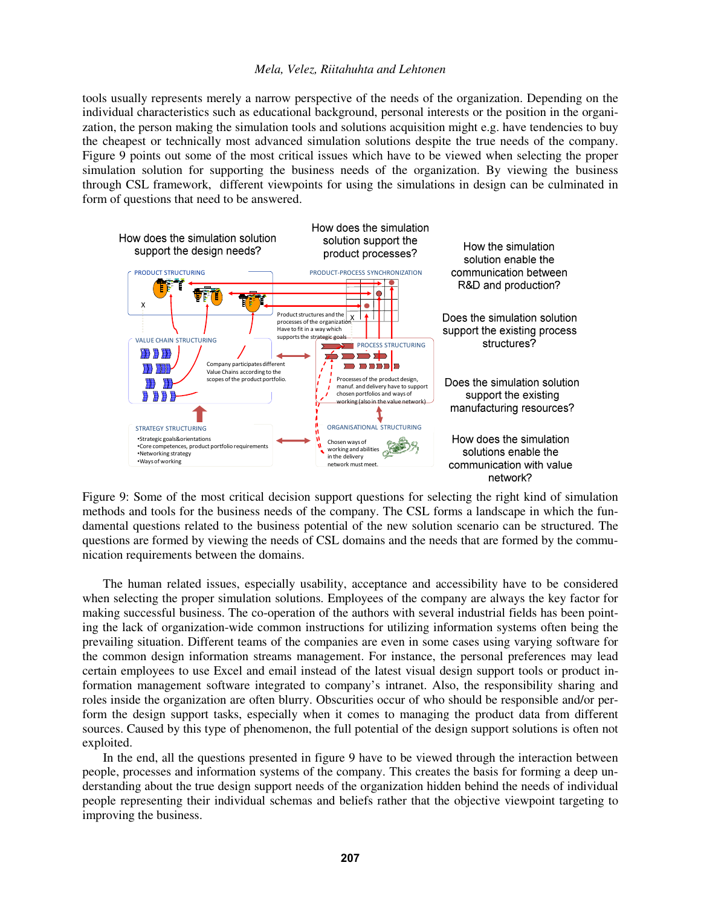tools usually represents merely a narrow perspective of the needs of the organization. Depending on the individual characteristics such as educational background, personal interests or the position in the organization, the person making the simulation tools and solutions acquisition might e.g. have tendencies to buy the cheapest or technically most advanced simulation solutions despite the true needs of the company. Figure 9 points out some of the most critical issues which have to be viewed when selecting the proper simulation solution for supporting the business needs of the organization. By viewing the business through CSL framework, different viewpoints for using the simulations in design can be culminated in form of questions that need to be answered.



Figure 9: Some of the most critical decision support questions for selecting the right kind of simulation methods and tools for the business needs of the company. The CSL forms a landscape in which the fundamental questions related to the business potential of the new solution scenario can be structured. The questions are formed by viewing the needs of CSL domains and the needs that are formed by the communication requirements between the domains.

The human related issues, especially usability, acceptance and accessibility have to be considered when selecting the proper simulation solutions. Employees of the company are always the key factor for making successful business. The co-operation of the authors with several industrial fields has been pointing the lack of organization-wide common instructions for utilizing information systems often being the prevailing situation. Different teams of the companies are even in some cases using varying software for the common design information streams management. For instance, the personal preferences may lead certain employees to use Excel and email instead of the latest visual design support tools or product information management software integrated to company's intranet. Also, the responsibility sharing and roles inside the organization are often blurry. Obscurities occur of who should be responsible and/or perform the design support tasks, especially when it comes to managing the product data from different sources. Caused by this type of phenomenon, the full potential of the design support solutions is often not exploited.

In the end, all the questions presented in figure 9 have to be viewed through the interaction between people, processes and information systems of the company. This creates the basis for forming a deep understanding about the true design support needs of the organization hidden behind the needs of individual people representing their individual schemas and beliefs rather that the objective viewpoint targeting to improving the business.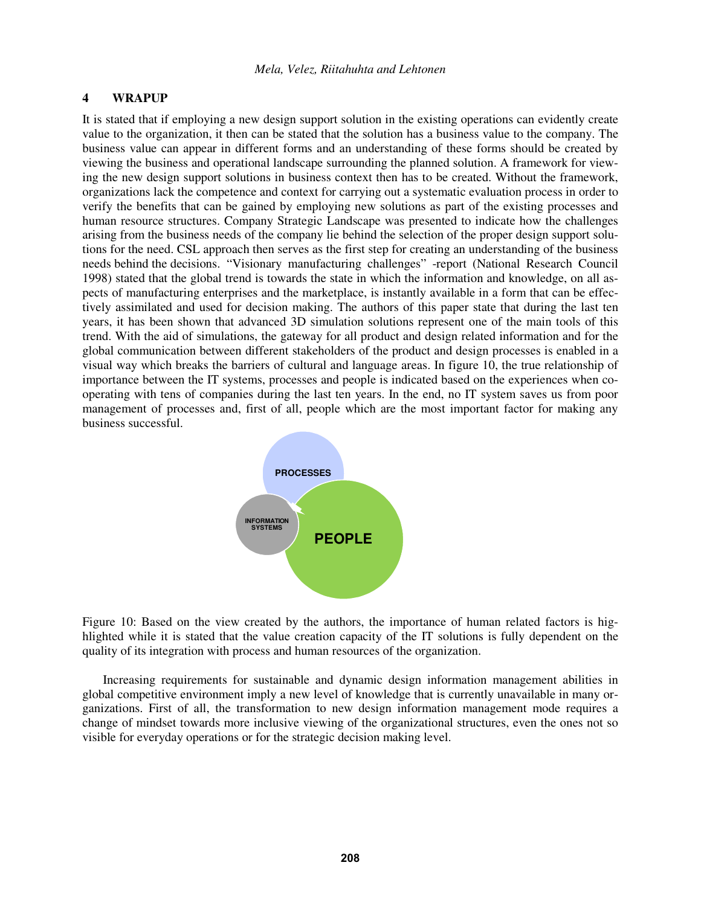# **4 WRAPUP**

It is stated that if employing a new design support solution in the existing operations can evidently create value to the organization, it then can be stated that the solution has a business value to the company. The business value can appear in different forms and an understanding of these forms should be created by viewing the business and operational landscape surrounding the planned solution. A framework for viewing the new design support solutions in business context then has to be created. Without the framework, organizations lack the competence and context for carrying out a systematic evaluation process in order to verify the benefits that can be gained by employing new solutions as part of the existing processes and human resource structures. Company Strategic Landscape was presented to indicate how the challenges arising from the business needs of the company lie behind the selection of the proper design support solutions for the need. CSL approach then serves as the first step for creating an understanding of the business needs behind the decisions. "Visionary manufacturing challenges" -report (National Research Council 1998) stated that the global trend is towards the state in which the information and knowledge, on all aspects of manufacturing enterprises and the marketplace, is instantly available in a form that can be effectively assimilated and used for decision making. The authors of this paper state that during the last ten years, it has been shown that advanced 3D simulation solutions represent one of the main tools of this trend. With the aid of simulations, the gateway for all product and design related information and for the global communication between different stakeholders of the product and design processes is enabled in a visual way which breaks the barriers of cultural and language areas. In figure 10, the true relationship of importance between the IT systems, processes and people is indicated based on the experiences when cooperating with tens of companies during the last ten years. In the end, no IT system saves us from poor management of processes and, first of all, people which are the most important factor for making any business successful.



Figure 10: Based on the view created by the authors, the importance of human related factors is highlighted while it is stated that the value creation capacity of the IT solutions is fully dependent on the quality of its integration with process and human resources of the organization.

 Increasing requirements for sustainable and dynamic design information management abilities in global competitive environment imply a new level of knowledge that is currently unavailable in many organizations. First of all, the transformation to new design information management mode requires a change of mindset towards more inclusive viewing of the organizational structures, even the ones not so visible for everyday operations or for the strategic decision making level.